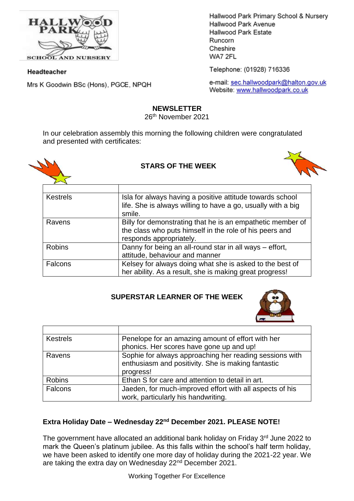

**SCHOOL AND NURSERY** 

#### Headteacher

Mrs K Goodwin BSc (Hons), PGCE, NPQH

Hallwood Park Primary School & Nursery Hallwood Park Avenue Hallwood Park Estate Runcorn Cheshire WA7 2FL

Telephone: (01928) 716336

e-mail: sec.hallwoodpark@halton.gov.uk Website: www.hallwoodpark.co.uk

### **NEWSLETTER**

26th November 2021

In our celebration assembly this morning the following children were congratulated and presented with certificates:



# **STARS OF THE WEEK**



| <b>Kestrels</b> | Isla for always having a positive attitude towards school<br>life. She is always willing to have a go, usually with a big                        |
|-----------------|--------------------------------------------------------------------------------------------------------------------------------------------------|
|                 | smile.                                                                                                                                           |
| Ravens          | Billy for demonstrating that he is an empathetic member of<br>the class who puts himself in the role of his peers and<br>responds appropriately. |
| <b>Robins</b>   | Danny for being an all-round star in all ways – effort,<br>attitude, behaviour and manner                                                        |
| Falcons         | Kelsey for always doing what she is asked to the best of<br>her ability. As a result, she is making great progress!                              |

# **SUPERSTAR LEARNER OF THE WEEK**



| <b>Kestrels</b> | Penelope for an amazing amount of effort with her                                                                          |
|-----------------|----------------------------------------------------------------------------------------------------------------------------|
|                 | phonics. Her scores have gone up and up!                                                                                   |
| Ravens          | Sophie for always approaching her reading sessions with<br>enthusiasm and positivity. She is making fantastic<br>progress! |
| <b>Robins</b>   | Ethan S for care and attention to detail in art.                                                                           |
| Falcons         | Jaeden, for much-improved effort with all aspects of his                                                                   |
|                 | work, particularly his handwriting.                                                                                        |

# **Extra Holiday Date – Wednesday 22nd December 2021. PLEASE NOTE!**

The government have allocated an additional bank holiday on Friday 3<sup>rd</sup> June 2022 to mark the Queen's platinum jubilee. As this falls within the school's half term holiday, we have been asked to identify one more day of holiday during the 2021-22 year. We are taking the extra day on Wednesday 22<sup>nd</sup> December 2021.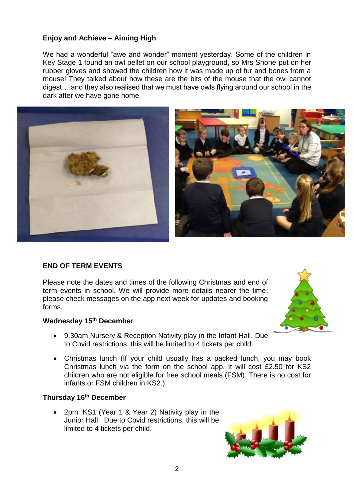# **Enjoy and Achieve – Aiming High**

We had a wonderful "awe and wonder" moment yesterday. Some of the children in Key Stage 1 found an owl pellet on our school playground, so Mrs Shone put on her rubber gloves and showed the children how it was made up of fur and bones from a mouse! They talked about how these are the bits of the mouse that the owl cannot digest….and they also realised that we must have owls flying around our school in the dark after we have gone home.



### **END OF TERM EVENTS**

Please note the dates and times of the following Christmas and end of term events in school. We will provide more details nearer the time: please check messages on the app next week for updates and booking forms.

#### **Wednesday 15th December**

- 9.30am Nursery & Reception Nativity play in the Infant Hall. Due to Covid restrictions, this will be limited to 4 tickets per child.
- Christmas lunch (If your child usually has a packed lunch, you may book Christmas lunch via the form on the school app. It will cost £2.50 for KS2 children who are not eligible for free school meals (FSM). There is no cost for infants or FSM children in KS2.)

### **Thursday 16 th December**

 2pm: KS1 (Year 1 & Year 2) Nativity play in the Junior Hall. Due to Covid restrictions, this will be limited to 4 tickets per child.